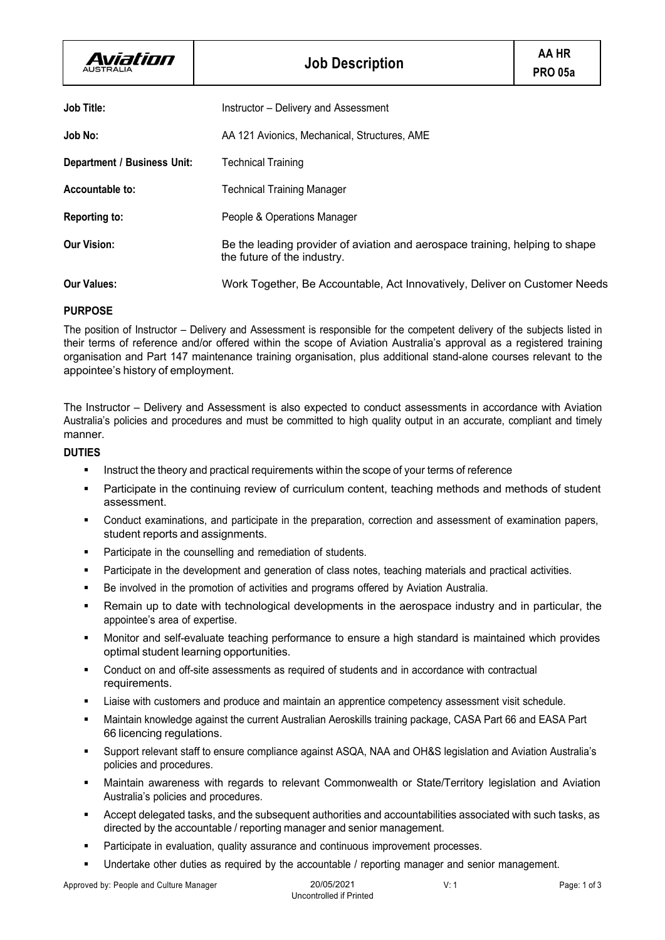| Aviation<br><b>AUSTRALIA</b>       | <b>Job Description</b>                                                                                      | AA HR<br><b>PRO 05a</b> |
|------------------------------------|-------------------------------------------------------------------------------------------------------------|-------------------------|
| <b>Job Title:</b>                  | Instructor - Delivery and Assessment                                                                        |                         |
| Job No:                            | AA 121 Avionics, Mechanical, Structures, AME                                                                |                         |
| <b>Department / Business Unit:</b> | <b>Technical Training</b>                                                                                   |                         |
| Accountable to:                    | <b>Technical Training Manager</b>                                                                           |                         |
| <b>Reporting to:</b>               | People & Operations Manager                                                                                 |                         |
| <b>Our Vision:</b>                 | Be the leading provider of aviation and aerospace training, helping to shape<br>the future of the industry. |                         |
| <b>Our Values:</b>                 | Work Together, Be Accountable, Act Innovatively, Deliver on Customer Needs                                  |                         |

# **PURPOSE**

The position of Instructor – Delivery and Assessment is responsible for the competent delivery of the subjects listed in their terms of reference and/or offered within the scope of Aviation Australia's approval as a registered training organisation and Part 147 maintenance training organisation, plus additional stand-alone courses relevant to the appointee's history of employment.

The Instructor – Delivery and Assessment is also expected to conduct assessments in accordance with Aviation Australia's policies and procedures and must be committed to high quality output in an accurate, compliant and timely manner.

# **DUTIES**

- Instruct the theory and practical requirements within the scope of your terms of reference
- Participate in the continuing review of curriculum content, teaching methods and methods of student assessment.
- § Conduct examinations, and participate in the preparation, correction and assessment of examination papers, student reports and assignments.
- Participate in the counselling and remediation of students.
- Participate in the development and generation of class notes, teaching materials and practical activities.
- Be involved in the promotion of activities and programs offered by Aviation Australia.
- Remain up to date with technological developments in the aerospace industry and in particular, the appointee's area of expertise.
- § Monitor and self-evaluate teaching performance to ensure a high standard is maintained which provides optimal student learning opportunities.
- § Conduct on and off-site assessments as required of students and in accordance with contractual requirements.
- Liaise with customers and produce and maintain an apprentice competency assessment visit schedule.
- § Maintain knowledge against the current Australian Aeroskills training package, CASA Part 66 and EASA Part 66 licencing regulations.
- § Support relevant staff to ensure compliance against ASQA, NAA and OH&S legislation and Aviation Australia's policies and procedures.
- § Maintain awareness with regards to relevant Commonwealth or State/Territory legislation and Aviation Australia's policies and procedures.
- § Accept delegated tasks, and the subsequent authorities and accountabilities associated with such tasks, as directed by the accountable / reporting manager and senior management.
- Participate in evaluation, quality assurance and continuous improvement processes.
- Undertake other duties as required by the accountable / reporting manager and senior management.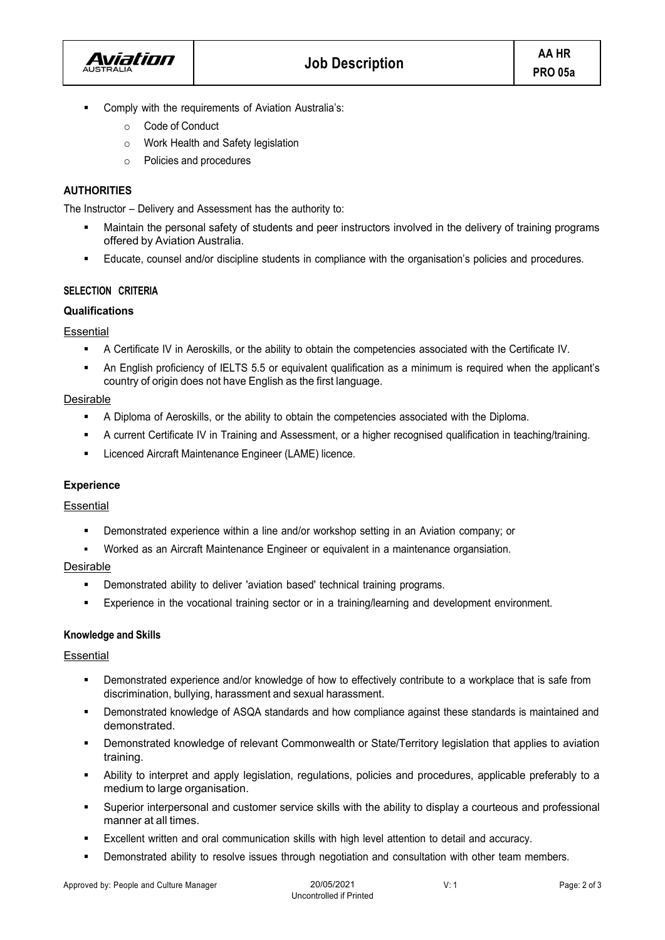

- § Comply with the requirements of Aviation Australia's:
	- o Code of Conduct
	- o Work Health and Safety legislation
	- o Policies and procedures

## **AUTHORITIES**

The Instructor – Delivery and Assessment has the authority to:

- Maintain the personal safety of students and peer instructors involved in the delivery of training programs offered by Aviation Australia.
- Educate, counsel and/or discipline students in compliance with the organisation's policies and procedures.

## **SELECTION CRITERIA**

## **Qualifications**

**Essential** 

- § A Certificate IV in Aeroskills, or the ability to obtain the competencies associated with the Certificate IV.
- An English proficiency of IELTS 5.5 or equivalent qualification as a minimum is required when the applicant's country of origin does not have English as the first language.

## Desirable

- **•** A Diploma of Aeroskills, or the ability to obtain the competencies associated with the Diploma.
- § A current Certificate IV in Training and Assessment, or a higher recognised qualification in teaching/training.
- Licenced Aircraft Maintenance Engineer (LAME) licence.

# **Experience**

**Essential** 

- § Demonstrated experience within a line and/or workshop setting in an Aviation company; or
- § Worked as an Aircraft Maintenance Engineer or equivalent in a maintenance organsiation.

#### Desirable

- **•** Demonstrated ability to deliver 'aviation based' technical training programs.
- § Experience in the vocational training sector or in a training/learning and development environment.

#### **Knowledge and Skills**

#### **Essential**

- § Demonstrated experience and/or knowledge of how to effectively contribute to a workplace that is safe from discrimination, bullying, harassment and sexual harassment.
- Demonstrated knowledge of ASQA standards and how compliance against these standards is maintained and demonstrated.
- § Demonstrated knowledge of relevant Commonwealth or State/Territory legislation that applies to aviation training.
- § Ability to interpret and apply legislation, regulations, policies and procedures, applicable preferably to a medium to large organisation.
- § Superior interpersonal and customer service skills with the ability to display a courteous and professional manner at all times.
- Excellent written and oral communication skills with high level attention to detail and accuracy.
- **•** Demonstrated ability to resolve issues through negotiation and consultation with other team members.